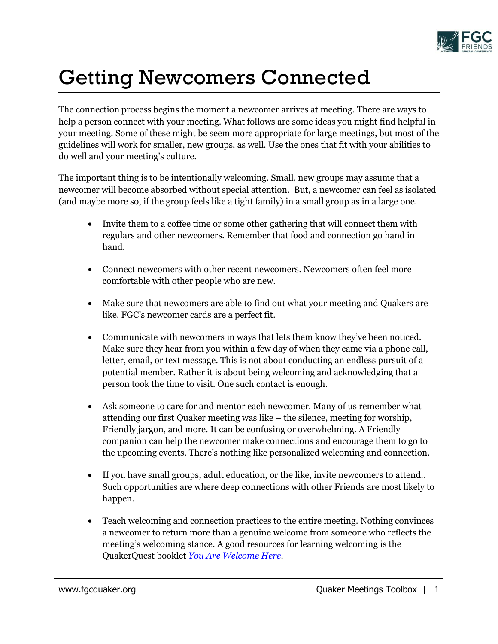

## Getting Newcomers Connected

The connection process begins the moment a newcomer arrives at meeting. There are ways to help a person connect with your meeting. What follows are some ideas you might find helpful in your meeting. Some of these might be seem more appropriate for large meetings, but most of the guidelines will work for smaller, new groups, as well. Use the ones that fit with your abilities to do well and your meeting's culture.

The important thing is to be intentionally welcoming. Small, new groups may assume that a newcomer will become absorbed without special attention. But, a newcomer can feel as isolated (and maybe more so, if the group feels like a tight family) in a small group as in a large one.

- Invite them to a coffee time or some other gathering that will connect them with regulars and other newcomers. Remember that food and connection go hand in hand.
- Connect newcomers with other recent newcomers. Newcomers often feel more comfortable with other people who are new.
- Make sure that newcomers are able to find out what your meeting and Quakers are like. FGC's newcomer cards are a perfect fit.
- Communicate with newcomers in ways that lets them know they've been noticed. Make sure they hear from you within a few day of when they came via a phone call, letter, email, or text message. This is not about conducting an endless pursuit of a potential member. Rather it is about being welcoming and acknowledging that a person took the time to visit. One such contact is enough.
- Ask someone to care for and mentor each newcomer. Many of us remember what attending our first Quaker meeting was like – the silence, meeting for worship, Friendly jargon, and more. It can be confusing or overwhelming. A Friendly companion can help the newcomer make connections and encourage them to go to the upcoming events. There's nothing like personalized welcoming and connection.
- If you have small groups, adult education, or the like, invite newcomers to attend.. Such opportunities are where deep connections with other Friends are most likely to happen.
- Teach welcoming and connection practices to the entire meeting. Nothing convinces a newcomer to return more than a genuine welcome from someone who reflects the meeting's welcoming stance. A good resources for learning welcoming is the QuakerQuest booklet *[You Are Welcome Here](http://www.fgcquaker.org/sites/www.fgcquaker.org/files/attachments/You%20Are%20Welcome%20Here_0.pdf)*.